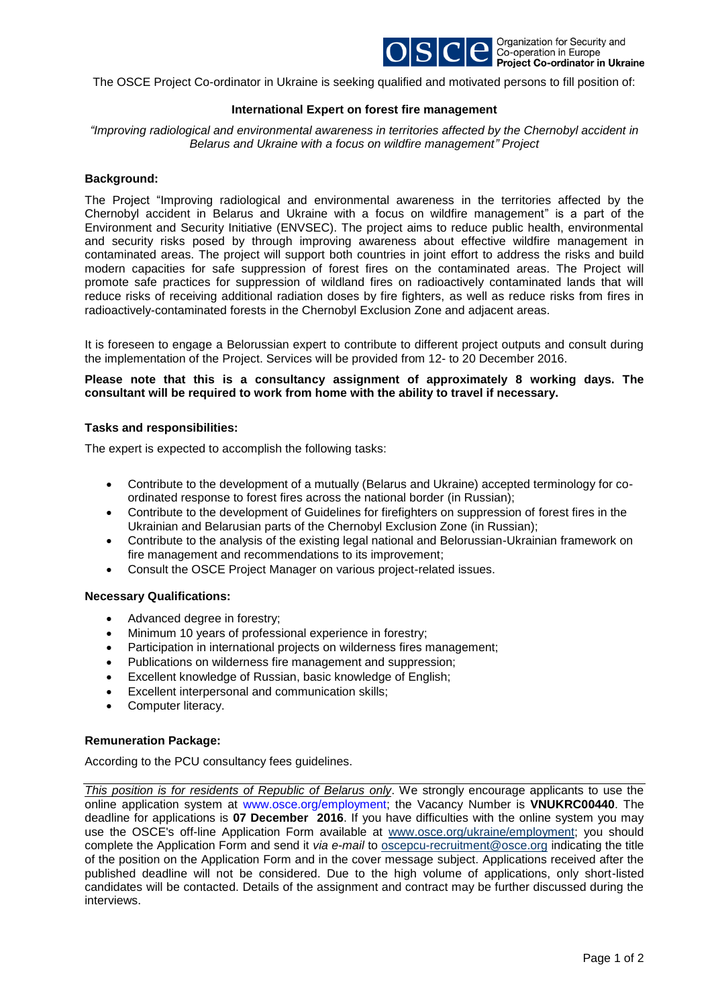

The OSCE Project Co-ordinator in Ukraine is seeking qualified and motivated persons to fill position of:

# **International Expert on forest fire management**

*"Improving radiological and environmental awareness in territories affected by the Chernobyl accident in Belarus and Ukraine with a focus on wildfire management" Project*

### **Background:**

The Project "Improving radiological and environmental awareness in the territories affected by the Chernobyl accident in Belarus and Ukraine with a focus on wildfire management" is a part of the Environment and Security Initiative (ENVSEC). The project aims to reduce public health, environmental and security risks posed by through improving awareness about effective wildfire management in contaminated areas. The project will support both countries in joint effort to address the risks and build modern capacities for safe suppression of forest fires on the contaminated areas. The Project will promote safe practices for suppression of wildland fires on radioactively contaminated lands that will reduce risks of receiving additional radiation doses by fire fighters, as well as reduce risks from fires in radioactively-contaminated forests in the Chernobyl Exclusion Zone and adjacent areas.

It is foreseen to engage a Belorussian expert to contribute to different project outputs and consult during the implementation of the Project. Services will be provided from 12- to 20 December 2016.

### **Please note that this is a consultancy assignment of approximately 8 working days. The consultant will be required to work from home with the ability to travel if necessary.**

# **Tasks and responsibilities:**

The expert is expected to accomplish the following tasks:

- Contribute to the development of a mutually (Belarus and Ukraine) accepted terminology for coordinated response to forest fires across the national border (in Russian);
- Contribute to the development of Guidelines for firefighters on suppression of forest fires in the Ukrainian and Belarusian parts of the Chernobyl Exclusion Zone (in Russian);
- Contribute to the analysis of the existing legal national and Belorussian-Ukrainian framework on fire management and recommendations to its improvement;
- Consult the OSCE Project Manager on various project-related issues.

#### **Necessary Qualifications:**

- Advanced degree in forestry;
- Minimum 10 years of professional experience in forestry;
- Participation in international projects on wilderness fires management;
- Publications on wilderness fire management and suppression;
- Excellent knowledge of Russian, basic knowledge of English;
- Excellent interpersonal and communication skills;
- Computer literacy.

# **Remuneration Package:**

According to the PCU consultancy fees guidelines.

*This position is for residents of Republic of Belarus only*. We strongly encourage applicants to use the online application system at [www.osce.org/employment;](http://www.osce.org/employment) the Vacancy Number is **VNUKRC00440**. The deadline for applications is **07 December 2016**. If you have difficulties with the online system you may use the OSCE's off-line Application Form available at [www.osce.org/ukraine/employment;](http://www.osce.org/ukraine/employment) you should complete the Application Form and send it *via e-mail* to [oscepcu-recruitment@osce.org](mailto:oscepcu-recruitment@osce.org) indicating the title of the position on the Application Form and in the cover message subject. Applications received after the published deadline will not be considered. Due to the high volume of applications, only short-listed candidates will be contacted. Details of the assignment and contract may be further discussed during the interviews.